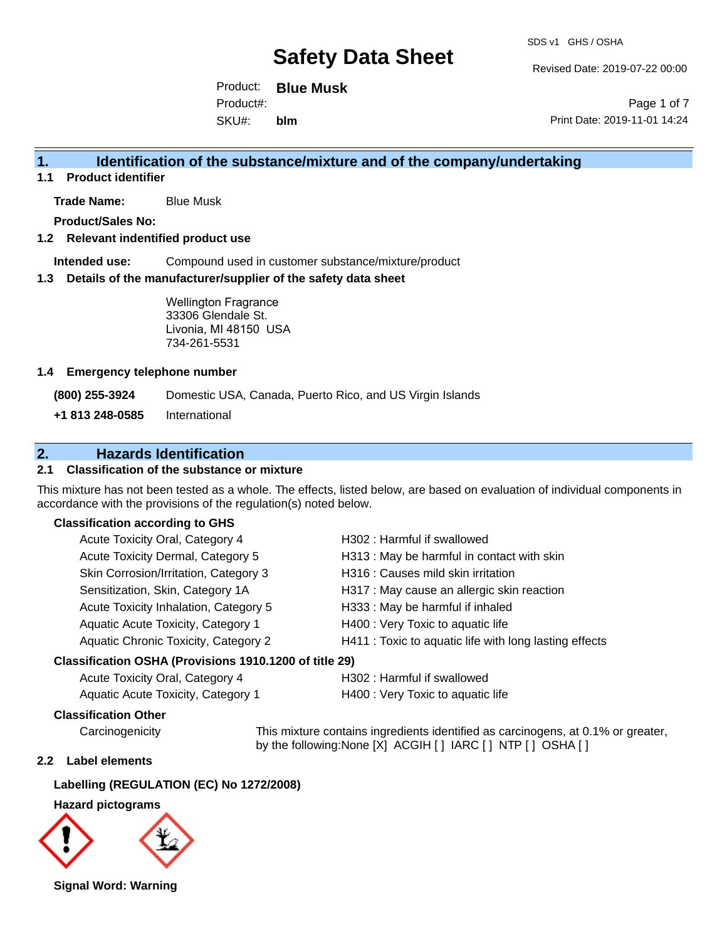Revised Date: 2019-07-22 00:00

Product: **Blue Musk** SKU#: Product#: **blm**

Page 1 of 7 Print Date: 2019-11-01 14:24

## **1. Identification of the substance/mixture and of the company/undertaking**

**1.1 Product identifier**

**Trade Name:** Blue Musk

**Product/Sales No:**

#### **1.2 Relevant indentified product use**

**Intended use:** Compound used in customer substance/mixture/product

#### **1.3 Details of the manufacturer/supplier of the safety data sheet**

Wellington Fragrance 33306 Glendale St. Livonia, MI 48150 USA 734-261-5531

#### **1.4 Emergency telephone number**

**(800) 255-3924** Domestic USA, Canada, Puerto Rico, and US Virgin Islands

**+1 813 248-0585** International

## **2. Hazards Identification**

#### **2.1 Classification of the substance or mixture**

This mixture has not been tested as a whole. The effects, listed below, are based on evaluation of individual components in accordance with the provisions of the regulation(s) noted below.

#### **Classification according to GHS**

| Acute Toxicity Oral, Category 4       | H302: Harmful if swallowed                             |
|---------------------------------------|--------------------------------------------------------|
| Acute Toxicity Dermal, Category 5     | H313: May be harmful in contact with skin              |
| Skin Corrosion/Irritation, Category 3 | H316 : Causes mild skin irritation                     |
| Sensitization, Skin, Category 1A      | H317 : May cause an allergic skin reaction             |
| Acute Toxicity Inhalation, Category 5 | H333: May be harmful if inhaled                        |
| Aquatic Acute Toxicity, Category 1    | H400 : Very Toxic to aquatic life                      |
| Aquatic Chronic Toxicity, Category 2  | H411 : Toxic to aquatic life with long lasting effects |
| .                                     |                                                        |

#### **Classification OSHA (Provisions 1910.1200 of title 29)**

| Acute Toxicity Oral, Category 4    | H302 : Harmful if swallowed       |
|------------------------------------|-----------------------------------|
| Aquatic Acute Toxicity, Category 1 | H400 : Very Toxic to aquatic life |

#### **Classification Other**

Carcinogenicity This mixture contains ingredients identified as carcinogens, at 0.1% or greater, by the following:None [X] ACGIH [ ] IARC [ ] NTP [ ] OSHA [ ]

#### **2.2 Label elements**

#### **Labelling (REGULATION (EC) No 1272/2008)**

#### **Hazard pictograms**



**Signal Word: Warning**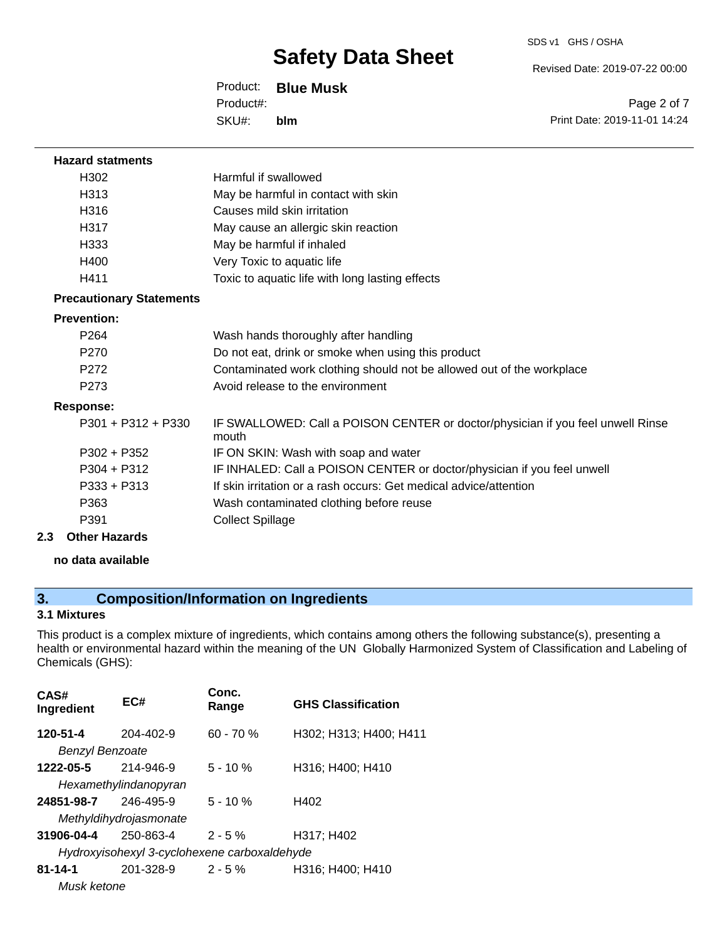Revised Date: 2019-07-22 00:00

Product: **Blue Musk** SKU#: Product#: **blm**

Page 2 of 7 Print Date: 2019-11-01 14:24

| <b>Hazard statments</b>         |                                                                                          |
|---------------------------------|------------------------------------------------------------------------------------------|
| H302                            | Harmful if swallowed                                                                     |
| H313                            | May be harmful in contact with skin                                                      |
| H316                            | Causes mild skin irritation                                                              |
| H317                            | May cause an allergic skin reaction                                                      |
| H333                            | May be harmful if inhaled                                                                |
| H400                            | Very Toxic to aquatic life                                                               |
| H411                            | Toxic to aquatic life with long lasting effects                                          |
| <b>Precautionary Statements</b> |                                                                                          |
| <b>Prevention:</b>              |                                                                                          |
| P <sub>264</sub>                | Wash hands thoroughly after handling                                                     |
| P <sub>270</sub>                | Do not eat, drink or smoke when using this product                                       |
| P272                            | Contaminated work clothing should not be allowed out of the workplace                    |
| P <sub>273</sub>                | Avoid release to the environment                                                         |
| <b>Response:</b>                |                                                                                          |
| $P301 + P312 + P330$            | IF SWALLOWED: Call a POISON CENTER or doctor/physician if you feel unwell Rinse<br>mouth |
| $P302 + P352$                   | IF ON SKIN: Wash with soap and water                                                     |
| $P304 + P312$                   | IF INHALED: Call a POISON CENTER or doctor/physician if you feel unwell                  |
| $P333 + P313$                   | If skin irritation or a rash occurs: Get medical advice/attention                        |
| P363                            | Wash contaminated clothing before reuse                                                  |
| P391                            | <b>Collect Spillage</b>                                                                  |
| 2.3<br><b>Other Hazards</b>     |                                                                                          |

**no data available**

## **3. Composition/Information on Ingredients**

### **3.1 Mixtures**

This product is a complex mixture of ingredients, which contains among others the following substance(s), presenting a health or environmental hazard within the meaning of the UN Globally Harmonized System of Classification and Labeling of Chemicals (GHS):

| CAS#<br>Ingredient     | EC#                                          | Conc.<br>Range | <b>GHS Classification</b> |
|------------------------|----------------------------------------------|----------------|---------------------------|
| 120-51-4               | 204-402-9                                    | $60 - 70%$     | H302; H313; H400; H411    |
| <b>Benzyl Benzoate</b> |                                              |                |                           |
| 1222-05-5              | 214-946-9                                    | $5 - 10 \%$    | H316; H400; H410          |
|                        | Hexamethylindanopyran                        |                |                           |
| 24851-98-7             | 246-495-9                                    | $5 - 10 \%$    | H402                      |
|                        | Methyldihydrojasmonate                       |                |                           |
| 31906-04-4             | 250-863-4                                    | $2 - 5%$       | H317: H402                |
|                        | Hydroxyisohexyl 3-cyclohexene carboxaldehyde |                |                           |
| $81 - 14 - 1$          | 201-328-9                                    | $2 - 5%$       | H316; H400; H410          |
| Musk ketone            |                                              |                |                           |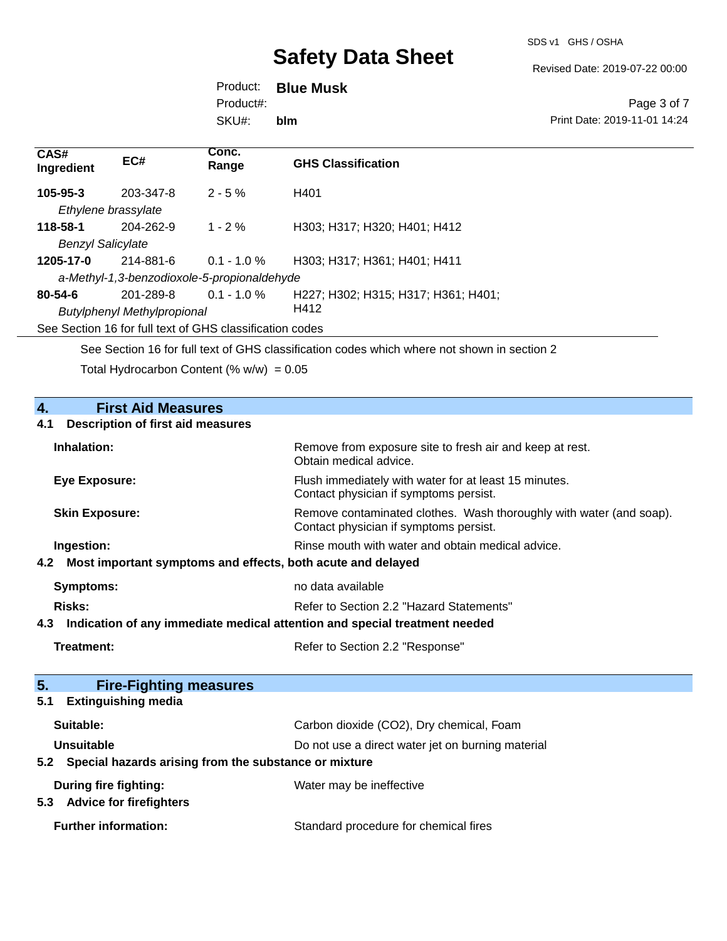SDS v1 GHS / OSHA

Revised Date: 2019-07-22 00:00

Product: **Blue Musk**

SKU#: Product#: **blm**

Page 3 of 7 Print Date: 2019-11-01 14:24

| CAS#<br>Ingredient       | EC#                                | Conc.<br>Range                                           | <b>GHS Classification</b>           |
|--------------------------|------------------------------------|----------------------------------------------------------|-------------------------------------|
| $105 - 95 - 3$           | 203-347-8                          | $2 - 5 \%$                                               | H401                                |
| Ethylene brassylate      |                                    |                                                          |                                     |
| 118-58-1                 | 204-262-9                          | $1 - 2\%$                                                | H303; H317; H320; H401; H412        |
| <b>Benzyl Salicylate</b> |                                    |                                                          |                                     |
| 1205-17-0                | 214-881-6                          | $0.1 - 1.0 \%$                                           | H303; H317; H361; H401; H411        |
|                          |                                    | a-Methyl-1,3-benzodioxole-5-propionaldehyde              |                                     |
| $80 - 54 - 6$            | 201-289-8                          | $0.1 - 1.0 \%$                                           | H227; H302; H315; H317; H361; H401; |
|                          | <b>Butylphenyl Methylpropional</b> |                                                          | H412                                |
|                          |                                    | See Section 16 for full text of GHS classification codes |                                     |

See Section 16 for full text of GHS classification codes which where not shown in section 2

Total Hydrocarbon Content  $(\% w/w) = 0.05$ 

| $\overline{4}$ .<br><b>First Aid Measures</b>                                     |                                                                                                               |  |
|-----------------------------------------------------------------------------------|---------------------------------------------------------------------------------------------------------------|--|
|                                                                                   |                                                                                                               |  |
| <b>Description of first aid measures</b><br>4.1                                   |                                                                                                               |  |
| Inhalation:                                                                       | Remove from exposure site to fresh air and keep at rest.<br>Obtain medical advice.                            |  |
| <b>Eye Exposure:</b>                                                              | Flush immediately with water for at least 15 minutes.<br>Contact physician if symptoms persist.               |  |
| <b>Skin Exposure:</b>                                                             | Remove contaminated clothes. Wash thoroughly with water (and soap).<br>Contact physician if symptoms persist. |  |
| Ingestion:                                                                        | Rinse mouth with water and obtain medical advice.                                                             |  |
| Most important symptoms and effects, both acute and delayed<br>4.2                |                                                                                                               |  |
| <b>Symptoms:</b>                                                                  | no data available                                                                                             |  |
| <b>Risks:</b>                                                                     | Refer to Section 2.2 "Hazard Statements"                                                                      |  |
| Indication of any immediate medical attention and special treatment needed<br>4.3 |                                                                                                               |  |
| Treatment:                                                                        | Refer to Section 2.2 "Response"                                                                               |  |
| 5 <sub>1</sub><br><b>Fire-Fighting measures</b>                                   |                                                                                                               |  |
| <b>Extinguishing media</b><br>5.1                                                 |                                                                                                               |  |
| Suitable:                                                                         | Carbon dioxide (CO2), Dry chemical, Foam                                                                      |  |
| <b>Unsuitable</b>                                                                 | Do not use a direct water jet on burning material                                                             |  |
| Special hazards arising from the substance or mixture<br>5.2                      |                                                                                                               |  |
| During fire fighting:<br><b>Advice for firefighters</b><br>5.3                    | Water may be ineffective                                                                                      |  |
| <b>Further information:</b>                                                       | Standard procedure for chemical fires                                                                         |  |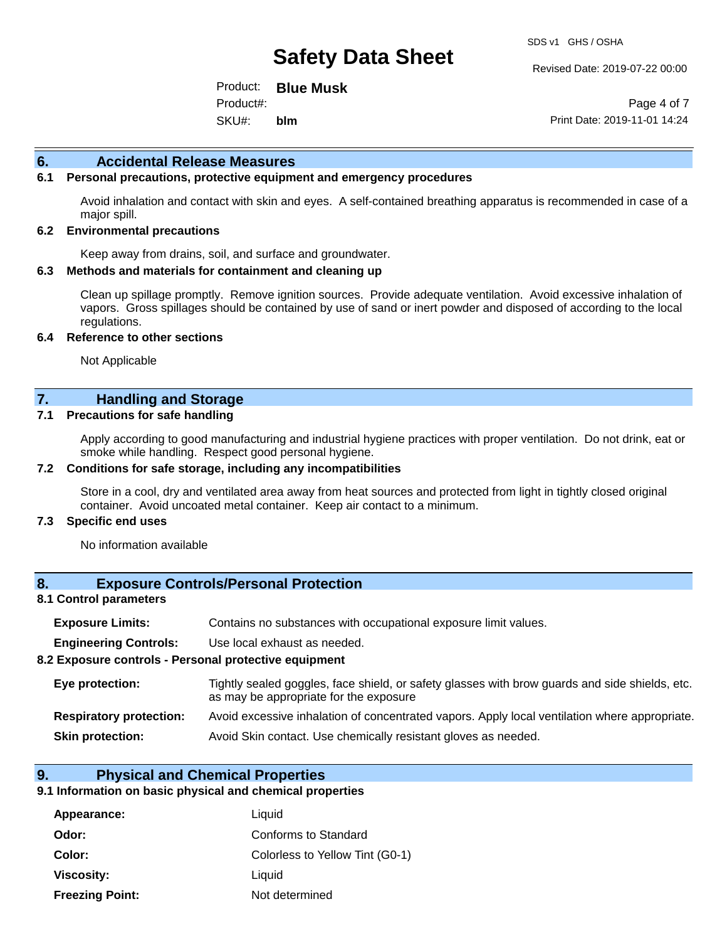Revised Date: 2019-07-22 00:00

Product: **Blue Musk** SKU#: Product#: **blm**

Page 4 of 7 Print Date: 2019-11-01 14:24

#### **6. Accidental Release Measures**

#### **6.1 Personal precautions, protective equipment and emergency procedures**

Avoid inhalation and contact with skin and eyes. A self-contained breathing apparatus is recommended in case of a major spill.

#### **6.2 Environmental precautions**

Keep away from drains, soil, and surface and groundwater.

#### **6.3 Methods and materials for containment and cleaning up**

Clean up spillage promptly. Remove ignition sources. Provide adequate ventilation. Avoid excessive inhalation of vapors. Gross spillages should be contained by use of sand or inert powder and disposed of according to the local regulations.

#### **6.4 Reference to other sections**

Not Applicable

### **7. Handling and Storage**

#### **7.1 Precautions for safe handling**

Apply according to good manufacturing and industrial hygiene practices with proper ventilation. Do not drink, eat or smoke while handling. Respect good personal hygiene.

#### **7.2 Conditions for safe storage, including any incompatibilities**

Store in a cool, dry and ventilated area away from heat sources and protected from light in tightly closed original container. Avoid uncoated metal container. Keep air contact to a minimum.

#### **7.3 Specific end uses**

No information available

#### **8. Exposure Controls/Personal Protection**

#### **8.1 Control parameters**

| <b>Exposure Limits:</b> |  | Contains no substances with occupational exposure limit values. |  |  |  |
|-------------------------|--|-----------------------------------------------------------------|--|--|--|
|-------------------------|--|-----------------------------------------------------------------|--|--|--|

**Engineering Controls:** Use local exhaust as needed.

#### **8.2 Exposure controls - Personal protective equipment**

| Eye protection:                | Tightly sealed goggles, face shield, or safety glasses with brow guards and side shields, etc.<br>as may be appropriate for the exposure |
|--------------------------------|------------------------------------------------------------------------------------------------------------------------------------------|
| <b>Respiratory protection:</b> | Avoid excessive inhalation of concentrated vapors. Apply local ventilation where appropriate.                                            |
| <b>Skin protection:</b>        | Avoid Skin contact. Use chemically resistant gloves as needed.                                                                           |

#### **9. Physical and Chemical Properties**

#### **9.1 Information on basic physical and chemical properties**

| Appearance:            | Liquid                          |
|------------------------|---------------------------------|
| Odor:                  | Conforms to Standard            |
| Color:                 | Colorless to Yellow Tint (G0-1) |
| Viscosity:             | Liquid                          |
| <b>Freezing Point:</b> | Not determined                  |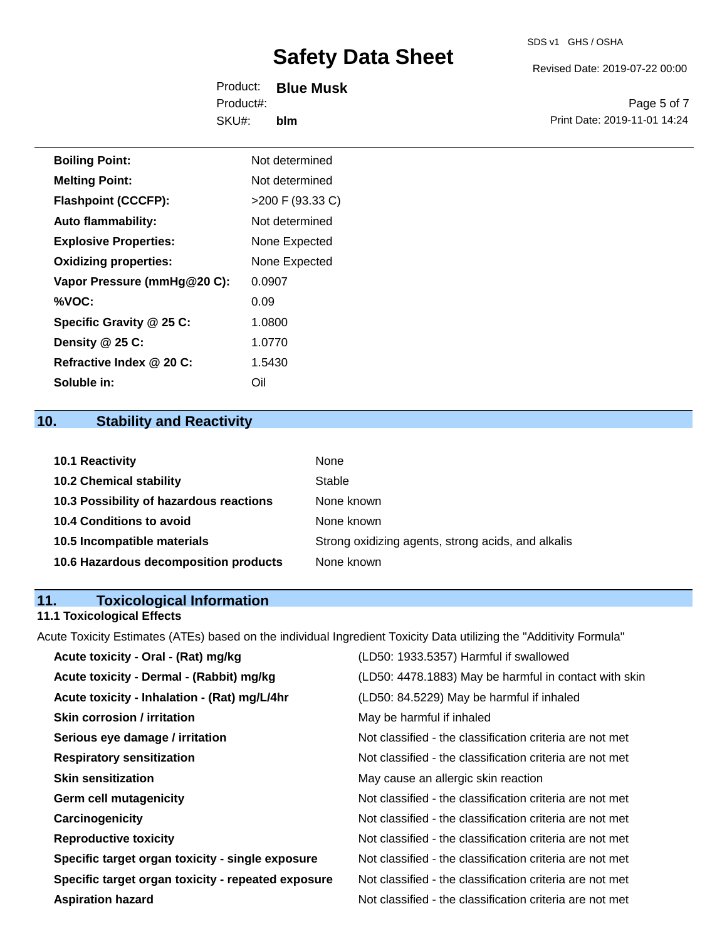Revised Date: 2019-07-22 00:00

Product: **Blue Musk** SKU#: Product#: **blm**

Page 5 of 7 Print Date: 2019-11-01 14:24

| <b>Boiling Point:</b>        | Not determined     |
|------------------------------|--------------------|
| <b>Melting Point:</b>        | Not determined     |
| <b>Flashpoint (CCCFP):</b>   | $>200$ F (93.33 C) |
| <b>Auto flammability:</b>    | Not determined     |
| <b>Explosive Properties:</b> | None Expected      |
| <b>Oxidizing properties:</b> | None Expected      |
| Vapor Pressure (mmHg@20 C):  | 0.0907             |
| %VOC:                        | 0.09               |
| Specific Gravity @ 25 C:     | 1.0800             |
| Density @ 25 C:              | 1.0770             |
| Refractive Index @ 20 C:     | 1.5430             |
| Soluble in:                  | Oil                |

# **10. Stability and Reactivity**

| 10.1 Reactivity                         | None                                               |
|-----------------------------------------|----------------------------------------------------|
| <b>10.2 Chemical stability</b>          | Stable                                             |
| 10.3 Possibility of hazardous reactions | None known                                         |
| 10.4 Conditions to avoid                | None known                                         |
| 10.5 Incompatible materials             | Strong oxidizing agents, strong acids, and alkalis |
| 10.6 Hazardous decomposition products   | None known                                         |

# **11. Toxicological Information**

## **11.1 Toxicological Effects**

Acute Toxicity Estimates (ATEs) based on the individual Ingredient Toxicity Data utilizing the "Additivity Formula"

| Acute toxicity - Oral - (Rat) mg/kg                | (LD50: 1933.5357) Harmful if swallowed                   |
|----------------------------------------------------|----------------------------------------------------------|
| Acute toxicity - Dermal - (Rabbit) mg/kg           | (LD50: 4478.1883) May be harmful in contact with skin    |
| Acute toxicity - Inhalation - (Rat) mg/L/4hr       | (LD50: 84.5229) May be harmful if inhaled                |
| <b>Skin corrosion / irritation</b>                 | May be harmful if inhaled                                |
| Serious eye damage / irritation                    | Not classified - the classification criteria are not met |
| <b>Respiratory sensitization</b>                   | Not classified - the classification criteria are not met |
| <b>Skin sensitization</b>                          | May cause an allergic skin reaction                      |
| <b>Germ cell mutagenicity</b>                      | Not classified - the classification criteria are not met |
| Carcinogenicity                                    | Not classified - the classification criteria are not met |
| <b>Reproductive toxicity</b>                       | Not classified - the classification criteria are not met |
| Specific target organ toxicity - single exposure   | Not classified - the classification criteria are not met |
| Specific target organ toxicity - repeated exposure | Not classified - the classification criteria are not met |
| <b>Aspiration hazard</b>                           | Not classified - the classification criteria are not met |
|                                                    |                                                          |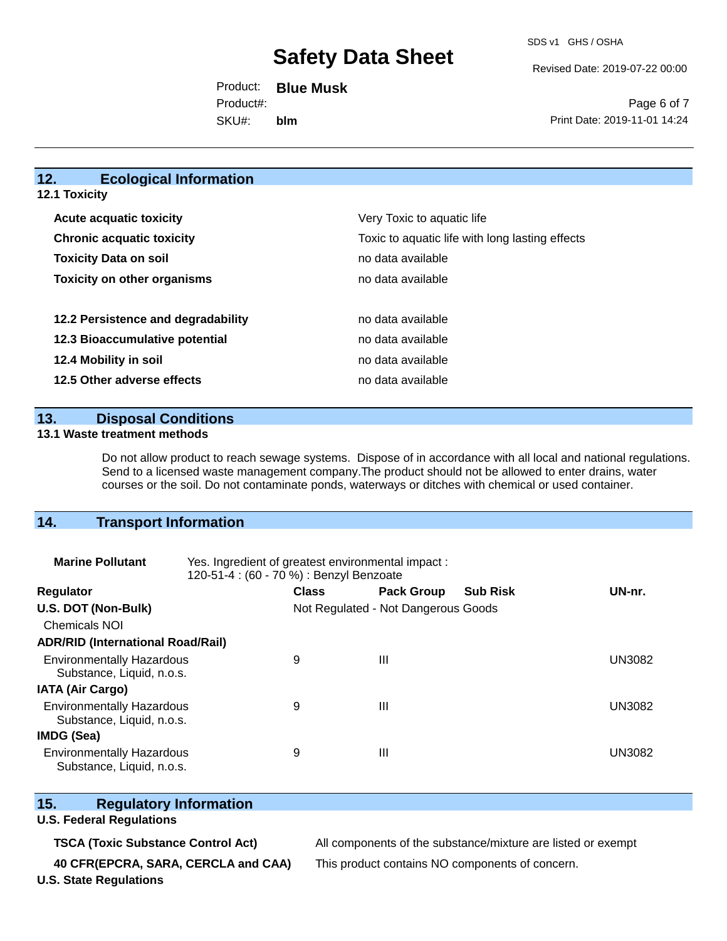Revised Date: 2019-07-22 00:00

Product: **Blue Musk** SKU#: Product#: **blm**

Page 6 of 7 Print Date: 2019-11-01 14:24

### **12. Ecological Information**

**12.1 Toxicity**

| <b>Acute acquatic toxicity</b>     | Very Toxic to aquatic life                      |
|------------------------------------|-------------------------------------------------|
| <b>Chronic acquatic toxicity</b>   | Toxic to aquatic life with long lasting effects |
| <b>Toxicity Data on soil</b>       | no data available                               |
| <b>Toxicity on other organisms</b> | no data available                               |
|                                    |                                                 |
| 12.2 Persistence and degradability | no data available                               |
| 12.3 Bioaccumulative potential     | no data available                               |
| 12.4 Mobility in soil              | no data available                               |
| 12.5 Other adverse effects         | no data available                               |

#### **13. Disposal Conditions**

#### **13.1 Waste treatment methods**

Do not allow product to reach sewage systems. Dispose of in accordance with all local and national regulations. Send to a licensed waste management company.The product should not be allowed to enter drains, water courses or the soil. Do not contaminate ponds, waterways or ditches with chemical or used container.

### **14. Transport Information**

| <b>Marine Pollutant</b>                                       | Yes. Ingredient of greatest environmental impact:<br>120-51-4 : (60 - 70 %) : Benzyl Benzoate |                                     |                   |                 |               |
|---------------------------------------------------------------|-----------------------------------------------------------------------------------------------|-------------------------------------|-------------------|-----------------|---------------|
| <b>Regulator</b>                                              |                                                                                               | <b>Class</b>                        | <b>Pack Group</b> | <b>Sub Risk</b> | UN-nr.        |
| U.S. DOT (Non-Bulk)                                           |                                                                                               | Not Regulated - Not Dangerous Goods |                   |                 |               |
| <b>Chemicals NOI</b>                                          |                                                                                               |                                     |                   |                 |               |
| <b>ADR/RID (International Road/Rail)</b>                      |                                                                                               |                                     |                   |                 |               |
| <b>Environmentally Hazardous</b><br>Substance, Liquid, n.o.s. |                                                                                               | 9                                   | Ш                 |                 | <b>UN3082</b> |
| <b>IATA (Air Cargo)</b>                                       |                                                                                               |                                     |                   |                 |               |
| <b>Environmentally Hazardous</b><br>Substance, Liquid, n.o.s. |                                                                                               | 9                                   | Ш                 |                 | <b>UN3082</b> |
| <b>IMDG (Sea)</b>                                             |                                                                                               |                                     |                   |                 |               |
| <b>Environmentally Hazardous</b><br>Substance, Liquid, n.o.s. |                                                                                               | 9                                   | Ш                 |                 | UN3082        |

### **15. Regulatory Information**

### **U.S. Federal Regulations**

**TSCA (Toxic Substance Control Act)** All components of the substance/mixture are listed or exempt

**40 CFR(EPCRA, SARA, CERCLA and CAA)** This product contains NO components of concern.

**U.S. State Regulations**